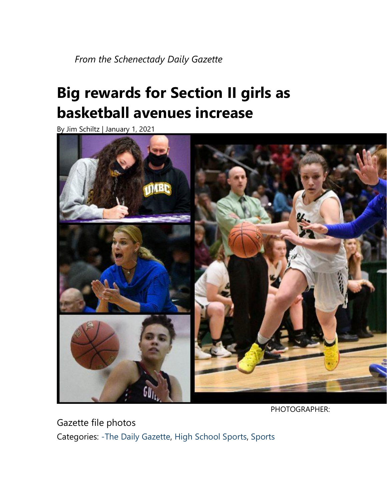*From the Schenectady Daily Gazette*

## **Big rewards for Section II girls as basketball avenues increase**

By [Jim Schiltz](https://dailygazette.com/staff/jim-schiltz/) | January 1, 2021



PHOTOGRAPHER:

Gazette file photos Categories: [-The Daily Gazette,](https://dailygazette.com/category/the-daily-gazette-2/) [High School Sports,](https://dailygazette.com/category/sports/high-school-sports/) [Sports](https://dailygazette.com/category/sports/)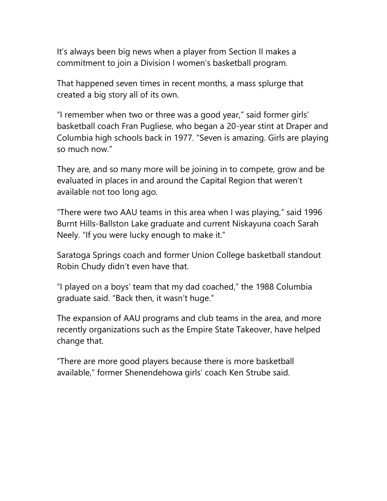It's always been big news when a player from Section II makes a commitment to join a Division I women's basketball program.

That happened seven times in recent months, a mass splurge that created a big story all of its own.

"I remember when two or three was a good year," said former girls' basketball coach Fran Pugliese, who began a 20-year stint at Draper and Columbia high schools back in 1977. "Seven is amazing. Girls are playing so much now."

They are, and so many more will be joining in to compete, grow and be evaluated in places in and around the Capital Region that weren't available not too long ago.

"There were two AAU teams in this area when I was playing," said 1996 Burnt Hills-Ballston Lake graduate and current Niskayuna coach Sarah Neely. "If you were lucky enough to make it."

Saratoga Springs coach and former Union College basketball standout Robin Chudy didn't even have that.

"I played on a boys' team that my dad coached," the 1988 Columbia graduate said. "Back then, it wasn't huge."

The expansion of AAU programs and club teams in the area, and more recently organizations such as the Empire State Takeover, have helped change that.

"There are more good players because there is more basketball available," former Shenendehowa girls' coach Ken Strube said.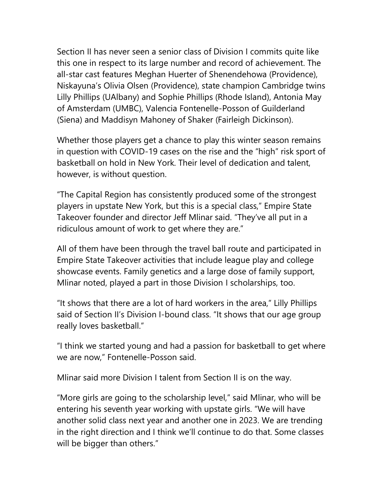Section II has never seen a senior class of Division I commits quite like this one in respect to its large number and record of achievement. The all-star cast features Meghan Huerter of Shenendehowa (Providence), Niskayuna's Olivia Olsen (Providence), state champion Cambridge twins Lilly Phillips (UAlbany) and Sophie Phillips (Rhode Island), Antonia May of Amsterdam (UMBC), Valencia Fontenelle-Posson of Guilderland (Siena) and Maddisyn Mahoney of Shaker (Fairleigh Dickinson).

Whether those players get a chance to play this winter season remains in question with COVID-19 cases on the rise and the "high" risk sport of basketball on hold in New York. Their level of dedication and talent, however, is without question.

"The Capital Region has consistently produced some of the strongest players in upstate New York, but this is a special class," Empire State Takeover founder and director Jeff Mlinar said. "They've all put in a ridiculous amount of work to get where they are."

All of them have been through the travel ball route and participated in Empire State Takeover activities that include league play and college showcase events. Family genetics and a large dose of family support, Mlinar noted, played a part in those Division I scholarships, too.

"It shows that there are a lot of hard workers in the area," Lilly Phillips said of Section II's Division I-bound class. "It shows that our age group really loves basketball."

"I think we started young and had a passion for basketball to get where we are now," Fontenelle-Posson said.

Mlinar said more Division I talent from Section II is on the way.

"More girls are going to the scholarship level," said Mlinar, who will be entering his seventh year working with upstate girls. "We will have another solid class next year and another one in 2023. We are trending in the right direction and I think we'll continue to do that. Some classes will be bigger than others."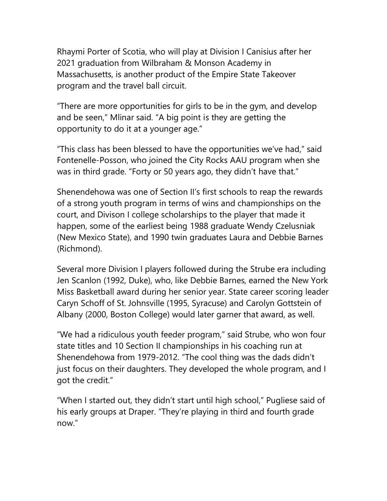Rhaymi Porter of Scotia, who will play at Division I Canisius after her 2021 graduation from Wilbraham & Monson Academy in Massachusetts, is another product of the Empire State Takeover program and the travel ball circuit.

"There are more opportunities for girls to be in the gym, and develop and be seen," Mlinar said. "A big point is they are getting the opportunity to do it at a younger age."

"This class has been blessed to have the opportunities we've had," said Fontenelle-Posson, who joined the City Rocks AAU program when she was in third grade. "Forty or 50 years ago, they didn't have that."

Shenendehowa was one of Section II's first schools to reap the rewards of a strong youth program in terms of wins and championships on the court, and Divison I college scholarships to the player that made it happen, some of the earliest being 1988 graduate Wendy Czelusniak (New Mexico State), and 1990 twin graduates Laura and Debbie Barnes (Richmond).

Several more Division I players followed during the Strube era including Jen Scanlon (1992, Duke), who, like Debbie Barnes, earned the New York Miss Basketball award during her senior year. State career scoring leader Caryn Schoff of St. Johnsville (1995, Syracuse) and Carolyn Gottstein of Albany (2000, Boston College) would later garner that award, as well.

"We had a ridiculous youth feeder program," said Strube, who won four state titles and 10 Section II championships in his coaching run at Shenendehowa from 1979-2012. "The cool thing was the dads didn't just focus on their daughters. They developed the whole program, and I got the credit."

"When I started out, they didn't start until high school," Pugliese said of his early groups at Draper. "They're playing in third and fourth grade now."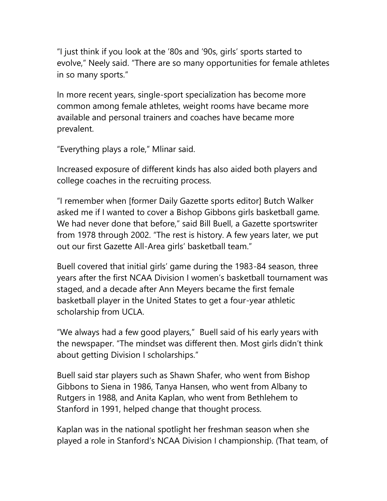"I just think if you look at the '80s and '90s, girls' sports started to evolve," Neely said. "There are so many opportunities for female athletes in so many sports."

In more recent years, single-sport specialization has become more common among female athletes, weight rooms have became more available and personal trainers and coaches have became more prevalent.

"Everything plays a role," Mlinar said.

Increased exposure of different kinds has also aided both players and college coaches in the recruiting process.

"I remember when [former Daily Gazette sports editor] Butch Walker asked me if I wanted to cover a Bishop Gibbons girls basketball game. We had never done that before," said Bill Buell, a Gazette sportswriter from 1978 through 2002. "The rest is history. A few years later, we put out our first Gazette All-Area girls' basketball team."

Buell covered that initial girls' game during the 1983-84 season, three years after the first NCAA Division I women's basketball tournament was staged, and a decade after Ann Meyers became the first female basketball player in the United States to get a four-year athletic scholarship from UCLA.

"We always had a few good players," Buell said of his early years with the newspaper. "The mindset was different then. Most girls didn't think about getting Division I scholarships."

Buell said star players such as Shawn Shafer, who went from Bishop Gibbons to Siena in 1986, Tanya Hansen, who went from Albany to Rutgers in 1988, and Anita Kaplan, who went from Bethlehem to Stanford in 1991, helped change that thought process.

Kaplan was in the national spotlight her freshman season when she played a role in Stanford's NCAA Division I championship. (That team, of